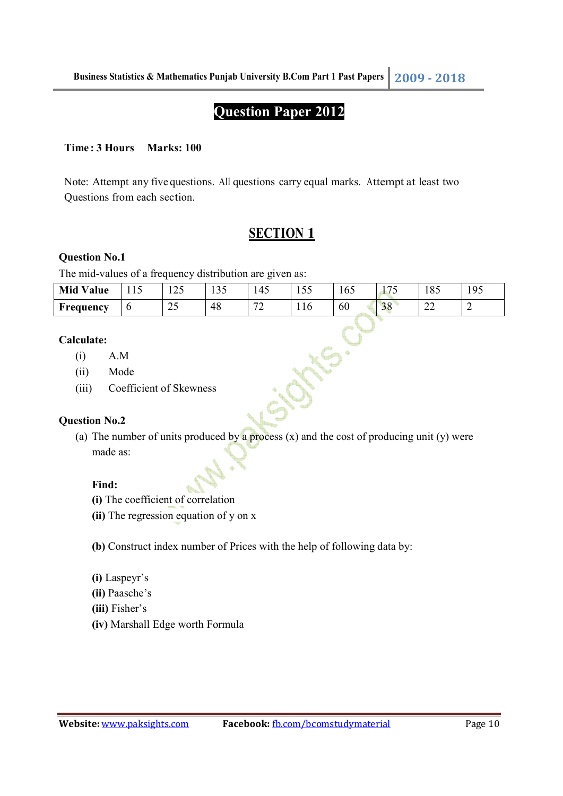## **Question Paper 2012**

#### **Time : 3 Hours Marks: 100**

Note: Attempt any five questions. All questions carry equal marks. Attempt at least two Questions from each section.

## **SECTION 1**

#### **Question No.1**

The mid-values of a frequency distribution are given as:

| <b>Mid Value</b> | $\sim$<br>1 1 J | つぐ<br>⊥∠J            | $\sim$ $\sim$<br>1 J J | 145                           | $ -$<br>1 J J | 165 | $\overline{\phantom{a}}$<br>ັ | 185          | Q <sub>5</sub><br>1 <i>J J</i> |
|------------------|-----------------|----------------------|------------------------|-------------------------------|---------------|-----|-------------------------------|--------------|--------------------------------|
| Frequency        | O               | $\sim$ $\sim$<br>ب ک | 48                     | $\overline{\phantom{a}}$<br>∼ | 110           | 60  | 20<br>$50^{\circ}$            | $\sim$<br>∠∠ | _                              |

**NS.CL** 

#### **Calculate:**

- (i) A.M
- (ii) Mode
- (iii) Coefficient of Skewness

#### **Question No.2**

(a) The number of units produced by a process  $(x)$  and the cost of producing unit  $(y)$  were made as:

#### **Find:**

- **(i)** The coefficient of correlation
- **(ii)** The regression equation of y on x

**(b)** Construct index number of Prices with the help of following data by:

- **(i)** Laspeyr's
- **(ii)** Paasche's
- **(iii)** Fisher's
- **(iv)** Marshall Edge worth Formula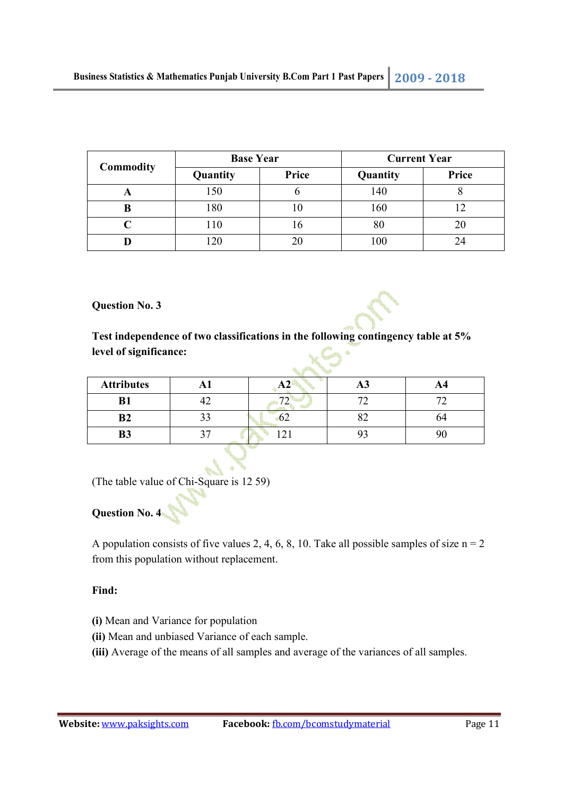|           | <b>Base Year</b> |       | <b>Current Year</b> |       |  |
|-----------|------------------|-------|---------------------|-------|--|
| Commodity | Quantity         | Price | Quantity            | Price |  |
|           | 150              |       | 140                 |       |  |
| B         | 180              |       | 160                 |       |  |
|           | 110              | .0    | 80                  | 20    |  |
|           |                  |       | 100                 |       |  |

**Question No. 3** 



**Test independence of two classifications in the following contingency table at 5% level of significance:**  XC

| <b>Attributes</b> |  | Æν |    |
|-------------------|--|----|----|
| D <sub>1</sub>    |  |    |    |
| B <sub>2</sub>    |  |    | 04 |
| B <sup>3</sup>    |  |    |    |

(The table value of Chi-Square is 12 59)

# **Question No. 4**

A population consists of five values 2, 4, 6, 8, 10. Take all possible samples of size  $n = 2$ from this population without replacement.

#### **Find:**

- **(i)** Mean and Variance for population
- **(ii)** Mean and unbiased Variance of each sample.
- **(iii)** Average of the means of all samples and average of the variances of all samples.